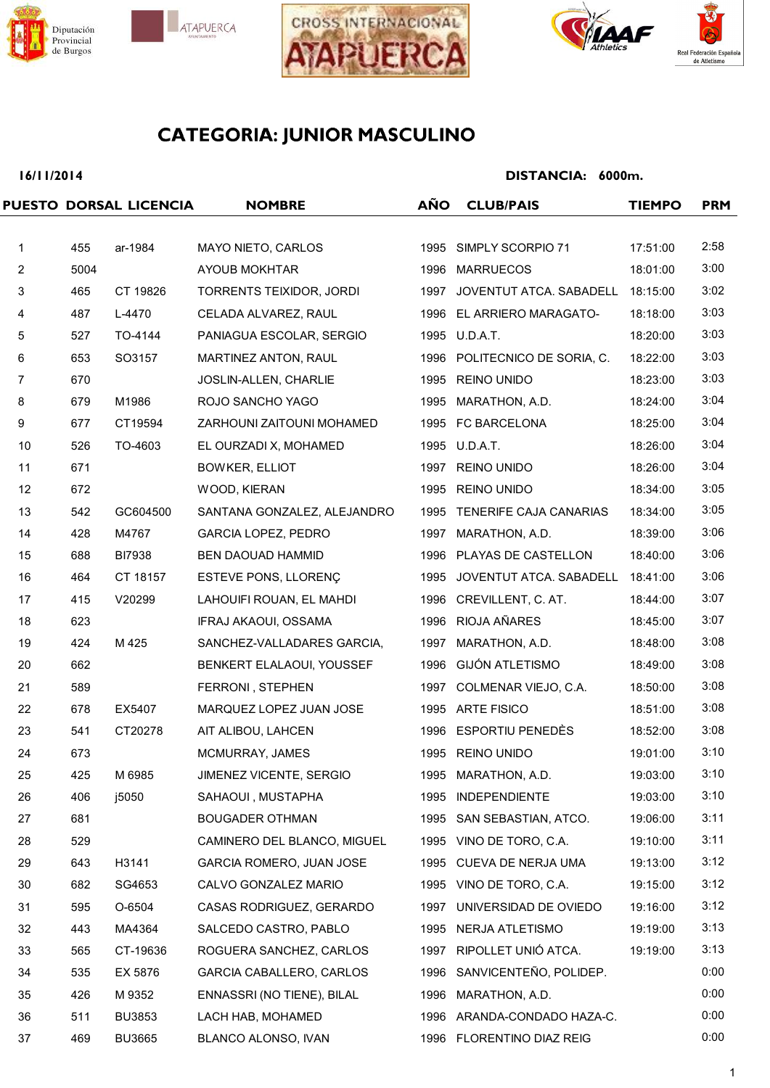







### **16/11/2014**

|                |      | PUESTO DORSAL LICENCIA | <b>NOMBRE</b>                  | <b>AÑO</b> | <b>CLUB/PAIS</b>              | <b>TIEMPO</b> | <b>PRM</b> |
|----------------|------|------------------------|--------------------------------|------------|-------------------------------|---------------|------------|
|                |      |                        |                                |            |                               |               |            |
| $\mathbf{1}$   | 455  | ar-1984                | MAYO NIETO, CARLOS             |            | 1995 SIMPLY SCORPIO 71        | 17:51:00      | 2:58       |
| $\overline{2}$ | 5004 |                        | AYOUB MOKHTAR                  |            | 1996 MARRUECOS                | 18:01:00      | 3:00       |
| $\mathbf{3}$   | 465  | CT 19826               | TORRENTS TEIXIDOR, JORDI       |            | 1997 JOVENTUT ATCA. SABADELL  | 18:15:00      | 3:02       |
| 4              | 487  | L-4470                 | CELADA ALVAREZ, RAUL           |            | 1996 EL ARRIERO MARAGATO-     | 18:18:00      | 3:03       |
| 5              | 527  | TO-4144                | PANIAGUA ESCOLAR, SERGIO       |            | 1995 U.D.A.T.                 | 18:20:00      | 3:03       |
| 6              | 653  | SO3157                 | MARTINEZ ANTON, RAUL           |            | 1996 POLITECNICO DE SORIA, C. | 18:22:00      | 3:03       |
| $\overline{7}$ | 670  |                        | JOSLIN-ALLEN, CHARLIE          |            | 1995 REINO UNIDO              | 18:23:00      | 3:03       |
| 8              | 679  | M1986                  | ROJO SANCHO YAGO               |            | 1995 MARATHON, A.D.           | 18:24:00      | 3:04       |
| 9              | 677  | CT19594                | ZARHOUNI ZAITOUNI MOHAMED      |            | 1995 FC BARCELONA             | 18:25:00      | 3:04       |
| 10             | 526  | TO-4603                | EL OURZADI X, MOHAMED          |            | 1995 U.D.A.T.                 | 18:26:00      | 3:04       |
| 11             | 671  |                        | <b>BOWKER, ELLIOT</b>          |            | 1997 REINO UNIDO              | 18:26:00      | 3:04       |
| 12             | 672  |                        | WOOD, KIERAN                   |            | 1995 REINO UNIDO              | 18:34:00      | 3:05       |
| 13             | 542  | GC604500               | SANTANA GONZALEZ, ALEJANDRO    |            | 1995 TENERIFE CAJA CANARIAS   | 18:34:00      | 3:05       |
| 14             | 428  | M4767                  | <b>GARCIA LOPEZ, PEDRO</b>     |            | 1997 MARATHON, A.D.           | 18:39:00      | 3:06       |
| 15             | 688  | <b>BI7938</b>          | BEN DAOUAD HAMMID              |            | 1996 PLAYAS DE CASTELLON      | 18:40:00      | 3:06       |
| 16             | 464  | CT 18157               | ESTEVE PONS, LLORENÇ           | 1995       | JOVENTUT ATCA. SABADELL       | 18:41:00      | 3:06       |
| 17             | 415  | V20299                 | LAHOUIFI ROUAN, EL MAHDI       | 1996       | CREVILLENT, C. AT.            | 18:44:00      | 3:07       |
| 18             | 623  |                        | IFRAJ AKAOUI, OSSAMA           |            | 1996 RIOJA AÑARES             | 18:45:00      | 3:07       |
| 19             | 424  | M 425                  | SANCHEZ-VALLADARES GARCIA,     |            | 1997 MARATHON, A.D.           | 18:48:00      | 3:08       |
| 20             | 662  |                        | BENKERT ELALAOUI, YOUSSEF      | 1996       | <b>GIJÓN ATLETISMO</b>        | 18:49:00      | 3:08       |
| 21             | 589  |                        | FERRONI, STEPHEN               |            | 1997 COLMENAR VIEJO, C.A.     | 18:50:00      | 3:08       |
| 22             | 678  | EX5407                 | MARQUEZ LOPEZ JUAN JOSE        |            | 1995 ARTE FISICO              | 18:51:00      | 3:08       |
| 23             | 541  | CT20278                | AIT ALIBOU, LAHCEN             |            | 1996 ESPORTIU PENEDÈS         | 18:52:00      | 3:08       |
| 24             | 673  |                        | MCMURRAY, JAMES                |            | 1995 REINO UNIDO              | 19:01:00      | 3:10       |
| 25             | 425  | M 6985                 | <b>JIMENEZ VICENTE, SERGIO</b> |            | 1995 MARATHON, A.D.           | 19:03:00      | 3:10       |
| 26             | 406  | j5050                  | SAHAOUI, MUSTAPHA              |            | 1995 INDEPENDIENTE            | 19:03:00      | 3:10       |
| 27             | 681  |                        | <b>BOUGADER OTHMAN</b>         |            | 1995 SAN SEBASTIAN, ATCO.     | 19:06:00      | 3:11       |
| 28             | 529  |                        | CAMINERO DEL BLANCO, MIGUEL    |            | 1995 VINO DE TORO, C.A.       | 19:10:00      | 3:11       |
| 29             | 643  | H3141                  | GARCIA ROMERO, JUAN JOSE       |            | 1995 CUEVA DE NERJA UMA       | 19:13:00      | 3:12       |
| 30             | 682  | SG4653                 | CALVO GONZALEZ MARIO           |            | 1995 VINO DE TORO, C.A.       | 19:15:00      | 3:12       |
| 31             | 595  | O-6504                 | CASAS RODRIGUEZ, GERARDO       |            | 1997 UNIVERSIDAD DE OVIEDO    | 19:16:00      | 3:12       |
| 32             | 443  | MA4364                 | SALCEDO CASTRO, PABLO          |            | 1995 NERJA ATLETISMO          | 19:19:00      | 3:13       |
| 33             | 565  | CT-19636               | ROGUERA SANCHEZ, CARLOS        |            | 1997 RIPOLLET UNIÓ ATCA.      | 19:19:00      | 3:13       |
| 34             | 535  | EX 5876                | GARCIA CABALLERO, CARLOS       |            | 1996 SANVICENTEÑO, POLIDEP.   |               | 0:00       |
| 35             | 426  | M 9352                 | ENNASSRI (NO TIENE), BILAL     |            | 1996 MARATHON, A.D.           |               | 0:00       |
| 36             | 511  | <b>BU3853</b>          | LACH HAB, MOHAMED              |            | 1996 ARANDA-CONDADO HAZA-C.   |               | 0:00       |
| 37             | 469  | <b>BU3665</b>          | BLANCO ALONSO, IVAN            |            | 1996 FLORENTINO DIAZ REIG     |               | 0:00       |
|                |      |                        |                                |            |                               |               |            |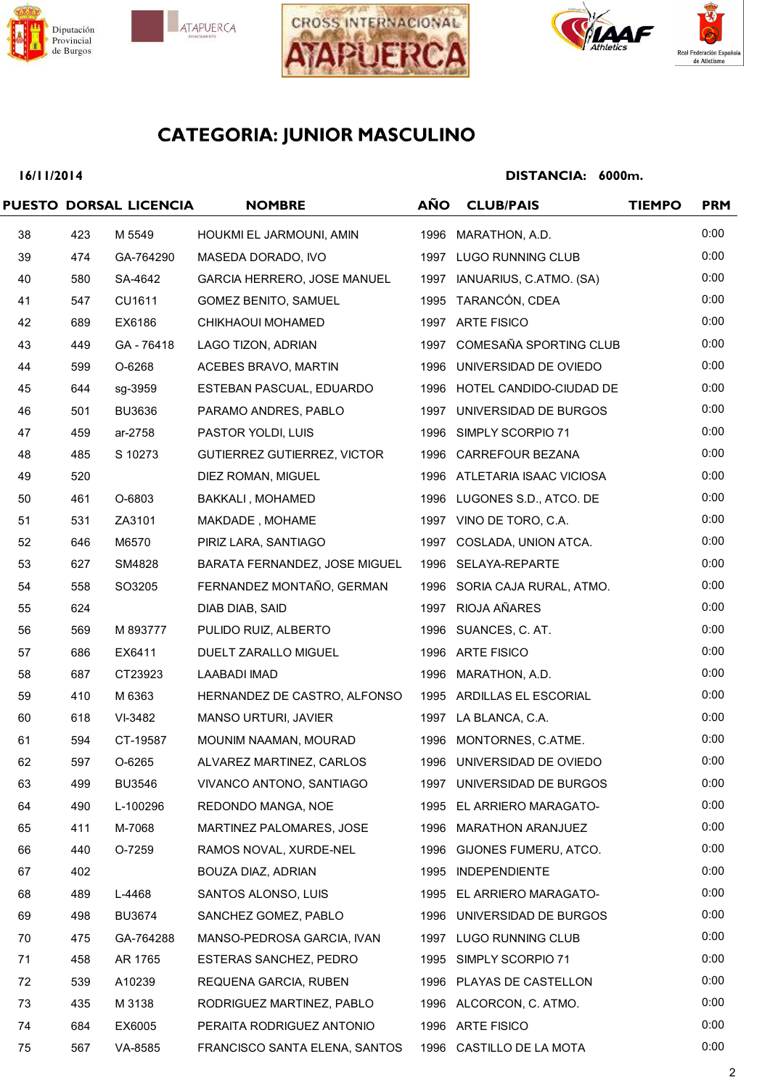







### **16/11/2014**

|    |     | PUESTO DORSAL LICENCIA | <b>NOMBRE</b>                 | <b>AÑO</b> | <b>CLUB/PAIS</b>             | <b>TIEMPO</b> | <b>PRM</b> |
|----|-----|------------------------|-------------------------------|------------|------------------------------|---------------|------------|
| 38 | 423 | M 5549                 | HOUKMI EL JARMOUNI, AMIN      |            | 1996 MARATHON, A.D.          |               | 0:00       |
| 39 | 474 | GA-764290              | MASEDA DORADO, IVO            |            | 1997 LUGO RUNNING CLUB       |               | 0:00       |
| 40 | 580 | SA-4642                | GARCIA HERRERO, JOSE MANUEL   |            | 1997 IANUARIUS, C.ATMO. (SA) |               | 0:00       |
| 41 | 547 | CU1611                 | <b>GOMEZ BENITO, SAMUEL</b>   |            | 1995 TARANCÓN, CDEA          |               | 0:00       |
| 42 | 689 | EX6186                 | CHIKHAOUI MOHAMED             |            | 1997 ARTE FISICO             |               | 0:00       |
| 43 | 449 | GA-76418               | LAGO TIZON, ADRIAN            | 1997       | COMESAÑA SPORTING CLUB       |               | 0:00       |
| 44 | 599 | O-6268                 | ACEBES BRAVO, MARTIN          |            | 1996 UNIVERSIDAD DE OVIEDO   |               | 0:00       |
| 45 | 644 | sg-3959                | ESTEBAN PASCUAL, EDUARDO      |            | 1996 HOTEL CANDIDO-CIUDAD DE |               | 0:00       |
| 46 | 501 | <b>BU3636</b>          | PARAMO ANDRES, PABLO          |            | 1997 UNIVERSIDAD DE BURGOS   |               | 0:00       |
| 47 | 459 | ar-2758                | PASTOR YOLDI, LUIS            |            | 1996 SIMPLY SCORPIO 71       |               | 0:00       |
| 48 | 485 | S 10273                | GUTIERREZ GUTIERREZ, VICTOR   |            | 1996 CARREFOUR BEZANA        |               | 0:00       |
| 49 | 520 |                        | DIEZ ROMAN, MIGUEL            |            | 1996 ATLETARIA ISAAC VICIOSA |               | 0:00       |
| 50 | 461 | O-6803                 | BAKKALI, MOHAMED              |            | 1996 LUGONES S.D., ATCO. DE  |               | 0:00       |
| 51 | 531 | ZA3101                 | MAKDADE, MOHAME               |            | 1997 VINO DE TORO, C.A.      |               | 0:00       |
| 52 | 646 | M6570                  | PIRIZ LARA, SANTIAGO          |            | 1997 COSLADA, UNION ATCA.    |               | 0:00       |
| 53 | 627 | SM4828                 | BARATA FERNANDEZ, JOSE MIGUEL |            | 1996 SELAYA-REPARTE          |               | 0:00       |
| 54 | 558 | SO3205                 | FERNANDEZ MONTAÑO, GERMAN     |            | 1996 SORIA CAJA RURAL, ATMO. |               | 0:00       |
| 55 | 624 |                        | DIAB DIAB, SAID               |            | 1997 RIOJA AÑARES            |               | 0:00       |
| 56 | 569 | M 893777               | PULIDO RUIZ, ALBERTO          |            | 1996 SUANCES, C. AT.         |               | 0:00       |
| 57 | 686 | EX6411                 | DUELT ZARALLO MIGUEL          |            | 1996 ARTE FISICO             |               | 0:00       |
| 58 | 687 | CT23923                | LAABADI IMAD                  |            | 1996 MARATHON, A.D.          |               | 0:00       |
| 59 | 410 | M 6363                 | HERNANDEZ DE CASTRO, ALFONSO  |            | 1995 ARDILLAS EL ESCORIAL    |               | 0:00       |
| 60 | 618 | VI-3482                | MANSO URTURI, JAVIER          |            | 1997 LA BLANCA, C.A.         |               | 0:00       |
| 61 | 594 | CT-19587               | MOUNIM NAAMAN, MOURAD         |            | 1996 MONTORNES, C.ATME.      |               | 0:00       |
| 62 | 597 | O-6265                 | ALVAREZ MARTINEZ, CARLOS      |            | 1996 UNIVERSIDAD DE OVIEDO   |               | 0:00       |
| 63 | 499 | <b>BU3546</b>          | VIVANCO ANTONO, SANTIAGO      |            | 1997 UNIVERSIDAD DE BURGOS   |               | 0:00       |
| 64 | 490 | L-100296               | REDONDO MANGA, NOE            |            | 1995 EL ARRIERO MARAGATO-    |               | 0:00       |
| 65 | 411 | M-7068                 | MARTINEZ PALOMARES, JOSE      |            | 1996 MARATHON ARANJUEZ       |               | 0:00       |
| 66 | 440 | O-7259                 | RAMOS NOVAL, XURDE-NEL        |            | 1996 GIJONES FUMERU, ATCO.   |               | 0:00       |
| 67 | 402 |                        | BOUZA DIAZ, ADRIAN            |            | 1995 INDEPENDIENTE           |               | 0:00       |
| 68 | 489 | L-4468                 | SANTOS ALONSO, LUIS           |            | 1995 EL ARRIERO MARAGATO-    |               | 0:00       |
| 69 | 498 | <b>BU3674</b>          | SANCHEZ GOMEZ, PABLO          |            | 1996 UNIVERSIDAD DE BURGOS   |               | 0:00       |
| 70 | 475 | GA-764288              | MANSO-PEDROSA GARCIA, IVAN    |            | 1997 LUGO RUNNING CLUB       |               | 0:00       |
| 71 | 458 | AR 1765                | ESTERAS SANCHEZ, PEDRO        |            | 1995 SIMPLY SCORPIO 71       |               | 0:00       |
| 72 | 539 | A10239                 | REQUENA GARCIA, RUBEN         |            | 1996 PLAYAS DE CASTELLON     |               | 0:00       |
| 73 | 435 | M 3138                 | RODRIGUEZ MARTINEZ, PABLO     |            | 1996 ALCORCON, C. ATMO.      |               | 0:00       |
| 74 | 684 | EX6005                 | PERAITA RODRIGUEZ ANTONIO     |            | 1996 ARTE FISICO             |               | 0:00       |
| 75 | 567 | VA-8585                | FRANCISCO SANTA ELENA, SANTOS |            | 1996 CASTILLO DE LA MOTA     |               | 0:00       |
|    |     |                        |                               |            |                              |               |            |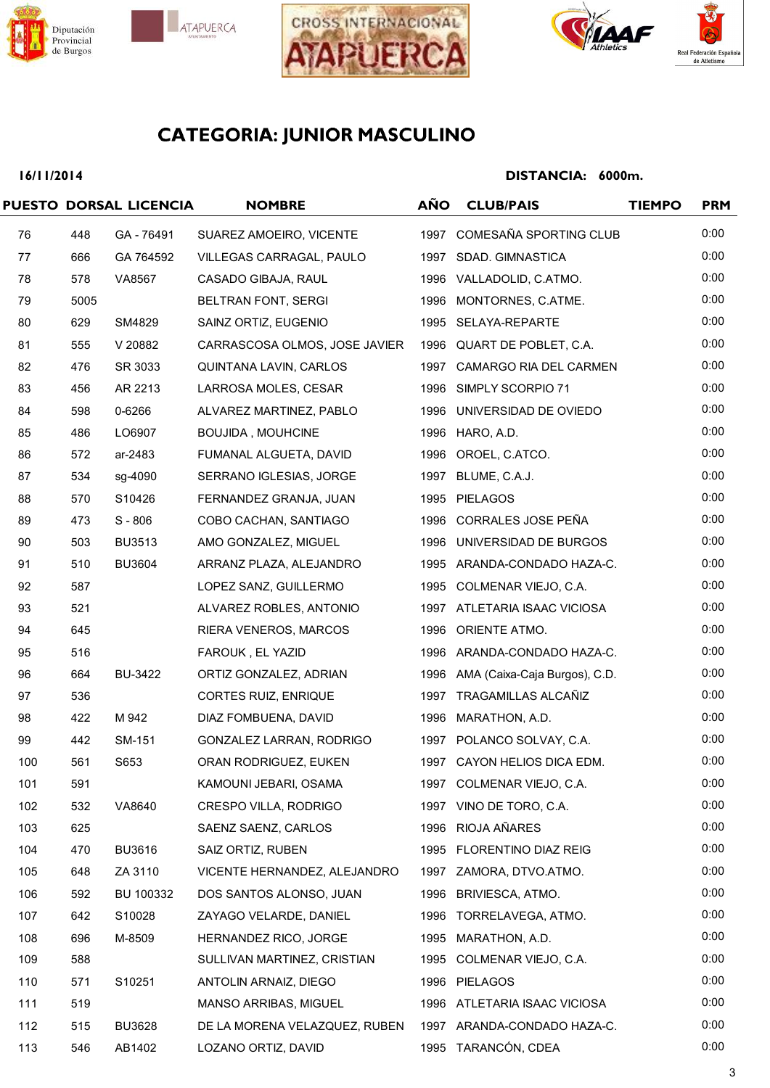







### **16/11/2014**

|     |      | PUESTO DORSAL LICENCIA | <b>NOMBRE</b>                 | <b>AÑO</b> | <b>CLUB/PAIS</b>                   | <b>TIEMPO</b> | <b>PRM</b> |
|-----|------|------------------------|-------------------------------|------------|------------------------------------|---------------|------------|
| 76  | 448  | GA - 76491             | SUAREZ AMOEIRO, VICENTE       |            | 1997 COMESAÑA SPORTING CLUB        |               | 0:00       |
| 77  | 666  | GA 764592              | VILLEGAS CARRAGAL, PAULO      |            | 1997 SDAD. GIMNASTICA              |               | 0:00       |
| 78  | 578  | VA8567                 | CASADO GIBAJA, RAUL           |            | 1996 VALLADOLID, C.ATMO.           |               | 0:00       |
| 79  | 5005 |                        | BELTRAN FONT, SERGI           |            | 1996 MONTORNES, C.ATME.            |               | 0:00       |
| 80  | 629  | SM4829                 | SAINZ ORTIZ, EUGENIO          |            | 1995 SELAYA-REPARTE                |               | 0:00       |
| 81  | 555  | V 20882                | CARRASCOSA OLMOS, JOSE JAVIER |            | 1996 QUART DE POBLET, C.A.         |               | 0:00       |
| 82  | 476  | SR 3033                | QUINTANA LAVIN, CARLOS        |            | 1997 CAMARGO RIA DEL CARMEN        |               | 0:00       |
| 83  | 456  | AR 2213                | LARROSA MOLES, CESAR          |            | 1996 SIMPLY SCORPIO 71             |               | 0:00       |
| 84  | 598  | 0-6266                 | ALVAREZ MARTINEZ, PABLO       |            | 1996 UNIVERSIDAD DE OVIEDO         |               | 0:00       |
| 85  | 486  | LO6907                 | <b>BOUJIDA, MOUHCINE</b>      |            | 1996 HARO, A.D.                    |               | 0:00       |
| 86  | 572  | ar-2483                | FUMANAL ALGUETA, DAVID        |            | 1996 OROEL, C.ATCO.                |               | 0:00       |
| 87  | 534  | sg-4090                | SERRANO IGLESIAS, JORGE       |            | 1997 BLUME, C.A.J.                 |               | 0:00       |
| 88  | 570  | S10426                 | FERNANDEZ GRANJA, JUAN        |            | 1995 PIELAGOS                      |               | 0:00       |
| 89  | 473  | $S - 806$              | COBO CACHAN, SANTIAGO         |            | 1996 CORRALES JOSE PEÑA            |               | 0:00       |
| 90  | 503  | <b>BU3513</b>          | AMO GONZALEZ, MIGUEL          |            | 1996 UNIVERSIDAD DE BURGOS         |               | 0:00       |
| 91  | 510  | <b>BU3604</b>          | ARRANZ PLAZA, ALEJANDRO       |            | 1995 ARANDA-CONDADO HAZA-C.        |               | 0:00       |
| 92  | 587  |                        | LOPEZ SANZ, GUILLERMO         |            | 1995 COLMENAR VIEJO, C.A.          |               | 0:00       |
| 93  | 521  |                        | ALVAREZ ROBLES, ANTONIO       |            | 1997 ATLETARIA ISAAC VICIOSA       |               | 0:00       |
| 94  | 645  |                        | RIERA VENEROS, MARCOS         |            | 1996 ORIENTE ATMO.                 |               | 0:00       |
| 95  | 516  |                        | FAROUK, EL YAZID              |            | 1996 ARANDA-CONDADO HAZA-C.        |               | 0:00       |
| 96  | 664  | <b>BU-3422</b>         | ORTIZ GONZALEZ, ADRIAN        |            | 1996 AMA (Caixa-Caja Burgos), C.D. |               | 0:00       |
| 97  | 536  |                        | CORTES RUIZ, ENRIQUE          |            | 1997 TRAGAMILLAS ALCAÑIZ           |               | 0:00       |
| 98  | 422  | M 942                  | DIAZ FOMBUENA, DAVID          |            | 1996 MARATHON, A.D.                |               | 0:00       |
| 99  | 442  | SM-151                 | GONZALEZ LARRAN, RODRIGO      |            | 1997 POLANCO SOLVAY, C.A.          |               | 0:00       |
| 100 | 561  | S653                   | ORAN RODRIGUEZ, EUKEN         |            | 1997 CAYON HELIOS DICA EDM.        |               | 0:00       |
| 101 | 591  |                        | KAMOUNI JEBARI, OSAMA         |            | 1997 COLMENAR VIEJO, C.A.          |               | 0:00       |
| 102 | 532  | VA8640                 | CRESPO VILLA, RODRIGO         |            | 1997 VINO DE TORO, C.A.            |               | 0:00       |
| 103 | 625  |                        | SAENZ SAENZ, CARLOS           |            | 1996 RIOJA AÑARES                  |               | 0:00       |
| 104 | 470  | <b>BU3616</b>          | SAIZ ORTIZ, RUBEN             |            | 1995 FLORENTINO DIAZ REIG          |               | 0:00       |
| 105 | 648  | ZA 3110                | VICENTE HERNANDEZ, ALEJANDRO  |            | 1997 ZAMORA, DTVO.ATMO.            |               | 0:00       |
| 106 | 592  | BU 100332              | DOS SANTOS ALONSO, JUAN       | 1996       | BRIVIESCA, ATMO.                   |               | 0:00       |
| 107 | 642  | S10028                 | ZAYAGO VELARDE, DANIEL        |            | 1996 TORRELAVEGA, ATMO.            |               | 0:00       |
| 108 | 696  | M-8509                 | HERNANDEZ RICO, JORGE         | 1995       | MARATHON, A.D.                     |               | 0:00       |
| 109 | 588  |                        | SULLIVAN MARTINEZ, CRISTIAN   |            | 1995 COLMENAR VIEJO, C.A.          |               | 0:00       |
| 110 | 571  | S10251                 | ANTOLIN ARNAIZ, DIEGO         |            | 1996 PIELAGOS                      |               | 0:00       |
| 111 | 519  |                        | MANSO ARRIBAS, MIGUEL         |            | 1996 ATLETARIA ISAAC VICIOSA       |               | 0:00       |
| 112 | 515  | <b>BU3628</b>          | DE LA MORENA VELAZQUEZ, RUBEN |            | 1997 ARANDA-CONDADO HAZA-C.        |               | 0:00       |
| 113 | 546  | AB1402                 | LOZANO ORTIZ, DAVID           |            | 1995 TARANCÓN, CDEA                |               | 0:00       |
|     |      |                        |                               |            |                                    |               |            |